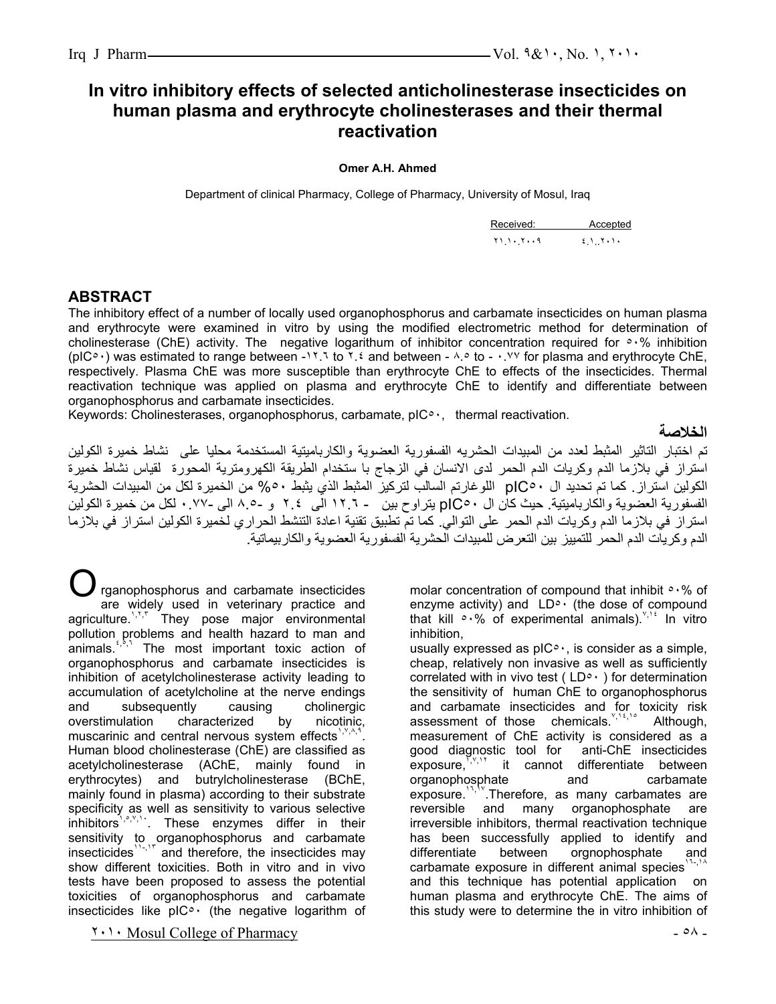# **In vitro inhibitory effects of selected anticholinesterase insecticides on human plasma and erythrocyte cholinesterases and their thermal reactivation**

#### **Omer A.H. Ahmed**

Department of clinical Pharmacy, College of Pharmacy, University of Mosul, Iraq

| Received:                | Accepted |
|--------------------------|----------|
| $Y \cup Y \cup Y \cup Y$ |          |

### **ABSTRACT**

The inhibitory effect of a number of locally used organophosphorus and carbamate insecticides on human plasma and erythrocyte were examined in vitro by using the modified electrometric method for determination of cholinesterase (ChE) activity. The negative logarithum of inhibitor concentration required for ٥٠% inhibition (pIC٥٠) was estimated to range between -١٢.٦ to ٢.٤ and between - ٨.٥ to - ٠.٧٧ for plasma and erythrocyte ChE, respectively. Plasma ChE was more susceptible than erythrocyte ChE to effects of the insecticides. Thermal reactivation technique was applied on plasma and erythrocyte ChE to identify and differentiate between organophosphorus and carbamate insecticides.

Keywords: Cholinesterases, organophosphorus, carbamate, pIC٥٠, thermal reactivation.

**الخلاصة**

تم اختبار التاثير المثبط لعدد من المبيدات الحشريه الفسفورية العضوية والكارباميتية المستخدمة محليا على نشاط خميرة الكولين استراز في بلازما الدم وكريات الدم الحمر لدى الانسان في الزجاج با ستخدام الطريقة الكهرومترية المحورة لقياس نشاط خميرة الكولين استراز. آما تم تحديد ال ٥٠pIC اللوغارتم السالب لترآيز المثبط الذي يثبط %٥٠ من الخميرة لكل من المبيدات الحشرية الفسفورية العضوية والكارباميتية. حيث آان ال ٥٠pIC يتراوح بين - ١٢.٦ الى ٢.٤ و ٨.٥- الى ٠.٧٧- لكل من خميرة الكولين استراز في بلازما الدم وكريات الدم الحمر على التوالي. كما تم تطبيق تقنية اعادة التتشط الحراري لخميرة الكولين استراز في بلازما الدم وكريات الدم الحمر للتمييز بين التعرض للمبيدات الحشرية الفسفورية العضوية والكاربيماتية.

rganophosphorus and carbamate insecticides are widely used in veterinary practice and agriculture.<sup>1,1,1</sup> They pose major environmental pollution problems and health hazard to man and animals.<sup>4,8,7</sup> The most important toxic action of organophosphorus and carbamate insecticides is inhibition of acetylcholinesterase activity leading to accumulation of acetylcholine at the nerve endings and subsequently causing cholinergic overstimulation characterized by nicotinic, muscarinic and central nervous system effects<sup> $1,2,4,4$ </sup> . Human blood cholinesterase (ChE) are classified as acetylcholinesterase (AChE, mainly found in erythrocytes) and butrylcholinesterase (BChE, mainly found in plasma) according to their substrate specificity as well as sensitivity to various selective inhibitors<sup>1,8,9,1</sup>. These enzymes differ in their sensitivity to organophosphorus and carbamate insecticides<sup>11-,1"</sup> and therefore, the insecticides may show different toxicities. Both in vitro and in vivo tests have been proposed to assess the potential toxicities of organophosphorus and carbamate insecticides like  $pIC^{\circ}$  (the negative logarithm of  $O_{\frac{1}{2}}$ 

 $1 \cdot 1 \cdot$  Mosul College of Pharmacy  $0 \cdot 0$ .

molar concentration of compound that inhibit ٥٠% of enzyme activity) and  $LD<sup>o</sup>$  (the dose of compound that kill  $\circ \cdot\%$  of experimental animals).<sup> $\gamma$ , the vitro</sup> inhibition,

usually expressed as  $pIC^{\circ}$ , is consider as a simple, cheap, relatively non invasive as well as sufficiently correlated with in vivo test ( $LD^{\circ}$ ) for determination the sensitivity of human ChE to organophosphorus and carbamate insecticides and for toxicity risk assessment of those chemicals.  $y_i y_i$ , Although, measurement of ChE activity is considered as a good diagnostic tool for anti-ChE insecticides<br>exposure, it cannot differentiate between it cannot differentiate between organophosphate and carbamate exposure.<sup>11,19</sup>.Therefore, as many carbamates are reversible and many organophosphate are irreversible inhibitors, thermal reactivation technique has been successfully applied to identify and differentiate between orgnophosphate and carbamate exposure in different animal species<sup>1</sup> and this technique has potential application on human plasma and erythrocyte ChE. The aims of this study were to determine the in vitro inhibition of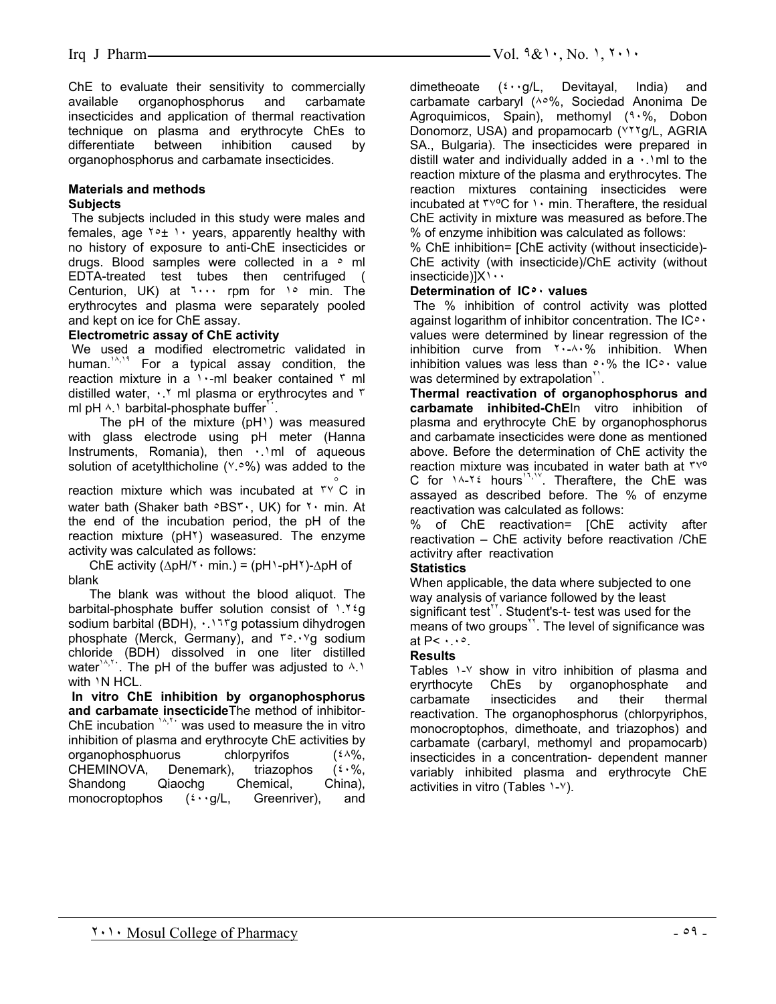ChE to evaluate their sensitivity to commercially available organophosphorus and carbamate insecticides and application of thermal reactivation technique on plasma and erythrocyte ChEs to differentiate between inhibition caused by organophosphorus and carbamate insecticides.

#### **Materials and methods Subjects**

 The subjects included in this study were males and females, age  $10+1$  years, apparently healthy with no history of exposure to anti-ChE insecticides or drugs. Blood samples were collected in a  $\circ$  ml EDTA-treated test tubes then centrifuged ( Centurion, UK) at  $1 \cdots$  rpm for  $1 \circ$  min. The erythrocytes and plasma were separately pooled and kept on ice for ChE assay.

#### **Electrometric assay of ChE activity**

 We used a modified electrometric validated in human.<sup>14,14</sup> For a typical assay condition, the reaction mixture in a  $\cdots$  ml beaker contained  $\cdots$  ml distilled water,  $\cdot$ . \* ml plasma or erythrocytes and  $\cdot$ ml pH  $\land$ . barbital-phosphate buffer $\therefore$ 

 The pH of the mixture (pH١) was measured with glass electrode using pH meter (Hanna Instruments, Romania), then  $\cdot$  1ml of aqueous solution of acetylthicholine (٧.٥%) was added to the

reaction mixture which was incubated at ٣٧◦ C in water bath (Shaker bath  $\circ$ BS٣٠, UK) for ٢٠ min. At the end of the incubation period, the pH of the reaction mixture (pH٢) waseasured. The enzyme activity was calculated as follows:

ChE activity ( $\Delta$ pH/ $\gamma \cdot$  min.) = (pH $\gamma$ -pH $\gamma$ )- $\Delta$ pH of blank

 The blank was without the blood aliquot. The barbital-phosphate buffer solution consist of ١.٢٤g sodium barbital (BDH), ٠.١٦٣g potassium dihydrogen phosphate (Merck, Germany), and ٣٥.٠٧g sodium chloride (BDH) dissolved in one liter distilled water<sup>1,4,1</sup>. The pH of the buffer was adjusted to  $4.1$ with  $\overline{N}$  HCL.

**In vitro ChE inhibition by organophosphorus and carbamate insecticide**The method of inhibitor-ChE incubation  $14,71$  was used to measure the in vitro inhibition of plasma and erythrocyte ChE activities by organophosphuorus chlorpyrifos (٤٨%, CHEMINOVA, Denemark), triazophos (٤٠%,<br>Shandong Qiaochg Chemical, China), Shandong Qiaochg Chemical, monocroptophos  $({}^{t} \cdot \cdot g/L)$ , Greenriver), and

dimetheoate (٤٠٠g/L, Devitayal, India) and carbamate carbaryl (٨٥%, Sociedad Anonima De Agroquimicos, Spain), methomyl (٩٠%, Dobon Donomorz, USA) and propamocarb (٧٢٢g/L, AGRIA SA., Bulgaria). The insecticides were prepared in distill water and individually added in a  $\cdot$ . Imit o the reaction mixture of the plasma and erythrocytes. The reaction mixtures containing insecticides were incubated at  $\mu$ <sup>o</sup>C for  $\cdot$  min. Theraftere, the residual ChE activity in mixture was measured as before.The % of enzyme inhibition was calculated as follows:

% ChE inhibition= [ChE activity (without insecticide)- ChE activity (with insecticide)/ChE activity (without insecticide)] $X \cdot \cdot$ 

#### **Determination of IC٥٠ values**

The % inhibition of control activity was plotted against logarithm of inhibitor concentration. The IC<sup>o</sup> · values were determined by linear regression of the inhibition curve from  $5.4.4\%$  inhibition. When inhibition values was less than  $\circ \cdot \%$  the IC $\circ \cdot$  value was determined by extrapolation<sup>"</sup>.

**Thermal reactivation of organophosphorus and carbamate inhibited-ChE**In vitro inhibition of plasma and erythrocyte ChE by organophosphorus and carbamate insecticides were done as mentioned above. Before the determination of ChE activity the reaction mixture was incubated in water bath at ٣٧º C for  $14-76$  hours<sup>17,19</sup>. Theraftere, the ChE was assayed as described before. The % of enzyme reactivation was calculated as follows:

% of ChE reactivation= [ChE activity after reactivation – ChE activity before reactivation /ChE activitry after reactivation

#### **Statistics**

When applicable, the data where subjected to one way analysis of variance followed by the least significant test $"$ . Student's-t- test was used for the means of two groups<sup>11</sup>. The level of significance was at  $P < \cdots$ °.

#### **Results**

Tables 1-Y show in vitro inhibition of plasma and eryrthocyte ChEs by organophosphate and carbamate insecticides and their thermal reactivation. The organophosphorus (chlorpyriphos, monocroptophos, dimethoate, and triazophos) and carbamate (carbaryl, methomyl and propamocarb) insecticides in a concentration- dependent manner variably inhibited plasma and erythrocyte ChE activities in vitro (Tables ١-٧).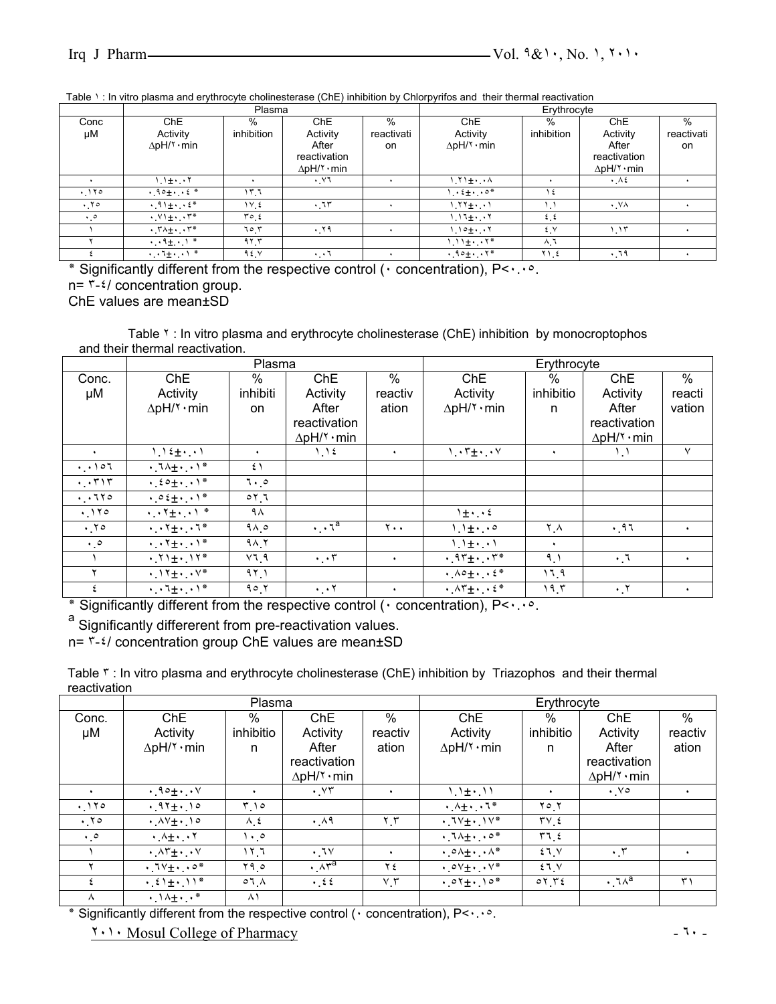| Table 1: In vitro plasma and erythrocyte cholinesterase (ChE) inhibition by Chlorpyrifos and their thermal reactivation |  |  |
|-------------------------------------------------------------------------------------------------------------------------|--|--|
|                                                                                                                         |  |  |

|               |                                                          | Plasma      |                            |            | . .                        | Erythrocyte     |                     |            |
|---------------|----------------------------------------------------------|-------------|----------------------------|------------|----------------------------|-----------------|---------------------|------------|
| Conc          | ChE                                                      | %           | Ch <sub>E</sub>            | %          | ChE                        | $\%$            | <b>ChE</b>          | $\%$       |
| μM            | Activity                                                 | inhibition  | Activity                   | reactivati | Activity                   | inhibition      | Activity            | reactivati |
|               | $\Delta$ pH/۲ · min                                      |             | After                      | on         | $\Delta$ pH/ $\gamma$ ·min |                 | After               | on.        |
|               |                                                          |             | reactivation               |            |                            |                 | reactivation        |            |
|               |                                                          |             | $\Delta$ pH/ $\gamma$ ·min |            |                            |                 | $\Delta$ pH/۲ · min |            |
|               | l. l±・・۲                                                 |             | . VI                       |            | $\lambda \cdot \pm i$      |                 | $\cdot$ A2          |            |
| .170          | $.90 +$                                                  | ۲.٦         |                            |            | $\cdot$ $2 + \cdot \cdot$  | ع ١             |                     |            |
| . 70          | $\cdot$ 91+ $\cdot$ $\cdot$ $\epsilon$ *                 | ١٧٤         | .15                        |            | $1.11 + 1.1$               | ۱.۱             | $\cdot$ VA          |            |
| $\cdot \cdot$ | $\cdot$ $V$ $\pm$ $\cdot$ $\cdot$ $\tau$ *               | $r \circ t$ |                            |            | ۱۱٦+۰۰۲                    | 2.5             |                     |            |
|               | $\cdot$ $\uparrow \wedge \pm \cdot$ $\cdot$ $\uparrow^*$ | ٦٥ ٣        | .79                        |            | ۱ ۱۰۰۰۰ ۱                  | źγ              | ۱.۱۳                |            |
|               | $\cdot \cdot \cdot + \cdot$                              | 97.7        |                            |            | $1.11 \pm 1.17$            | ۸.٦             |                     |            |
|               | $\cdots$ $\pm$ $\cdots$ $\pm$                            | 92.5        | $\cdot$ $\cdot$ 1          |            | $.90 \pm 7*$               | $Y \cup \Sigma$ | .79                 |            |

٭ Significantly different from the respective control (٠ concentration), P<٠.٠٥.  $n = \frac{1}{2}$  concentration group.

ChE values are mean±SD

Table ٢ : In vitro plasma and erythrocyte cholinesterase (ChE) inhibition by monocroptophos and their thermal reactivation.

|                                       |                                                                   | Plasma          |                                        |                 | Erythrocyte                                                  |           |                        |                      |
|---------------------------------------|-------------------------------------------------------------------|-----------------|----------------------------------------|-----------------|--------------------------------------------------------------|-----------|------------------------|----------------------|
| Conc.                                 | ChE                                                               | $\%$            | ChE                                    | $\%$            | <b>ChE</b>                                                   | %         | ChE                    | $\%$                 |
| μM                                    | Activity                                                          | inhibiti        | Activity                               | reactiv         | Activity                                                     | inhibitio | Activity               | reacti               |
|                                       | $\Delta$ pH/۲ · min                                               | <b>on</b>       | After                                  | ation           | $\Delta$ pH/۲ · min                                          | n         | After                  | vation               |
|                                       |                                                                   |                 | reactivation                           |                 |                                                              |           | reactivation           |                      |
|                                       |                                                                   |                 | $\Delta$ pH/۲ · min                    |                 |                                                              |           | $\Delta$ pH/۲ · min    |                      |
| $\ddot{\phantom{1}}$                  | $1.12 \pm 1.1$                                                    | ٠               | 1.12                                   | ٠               | $\cdot$ $\cdot$ $\cdot$ $\cdot$ $\cdot$ $\cdot$ $\cdot$      | $\bullet$ | $\mathcal{L}$          | $\vee$               |
| $\cdot \cdot \cdot \circ \cdot \cdot$ | $\cdot$ $1 \wedge \pm \cdot$ $\cdot$ $1$ *                        | ٤١              |                                        |                 |                                                              |           |                        |                      |
| $\cdot$ , $\tau$ ) $\tau$             | $\cdot 20 + \cdot 1$ *                                            | $7 \cdot 0$     |                                        |                 |                                                              |           |                        |                      |
| $\cdot \cdot \cdot \cdot \cdot$       | $\cdot \circ \xi_{\pm} \cdot \cdot \cdot$                         | 01.7            |                                        |                 |                                                              |           |                        |                      |
| .170                                  | $\cdot \cdot \cdot + \cdot \cdot \cdot$                           | ۹۸              |                                        |                 | $1 \pm 1.1$                                                  |           |                        |                      |
| .70                                   | $\cdot \cdot \cdot + \cdot \cdot \cdot$                           | 9A.0            | $\cdot \cdot \cdot \cdot$ <sup>a</sup> | $Y \cdot \cdot$ | $1.1 \pm 1.0$                                                | ۲ ۸       | .91                    | $\bullet$            |
| $\cdot \circ$                         | $\cdot$ , $\cdot$ $\uparrow$ +, $\cdot$ , $\uparrow$ *            | 9A <sub>1</sub> |                                        |                 | $1.1 \pm 1.1$                                                | $\bullet$ |                        |                      |
|                                       | $\cdot$ $\uparrow$ $\uparrow$ $\pm$ $\cdot$ $\uparrow$ $\uparrow$ | V1.9            | $\cdot$ , $\cdot$ $\cdot$              | $\bullet$       | $\cdot$ 97+ $\cdot$ $\cdot$ 7*                               | 9.1       | $\cdot 7$              | $\ddot{\phantom{1}}$ |
|                                       | $\cdot$ $\gamma_{\pm}$ $\cdot$ $\sqrt{*}$                         | 91.1            |                                        |                 | $\cdot \Lambda$ o $\pm \cdot \Lambda$ . $\epsilon$ *         | 17.9      |                        |                      |
| $\epsilon$                            | $\cdot \cdot 1 \pm \cdot \cdot 1^*$                               | 90.7            | $\cdot \cdot \cdot$                    | ٠               | $\cdot \Lambda \Upsilon \pm \cdot \cdot \cdot \varepsilon$ * | 19.5      | $\cdot$ , $\mathsf{Y}$ | $\bullet$            |

٭ Significantly different from the respective control (٠ concentration), P<٠.٠٥. a

a Significantly differerent from pre-reactivation values.

n= ٣-٤/ concentration group ChE values are mean±SD

Table ٣ : In vitro plasma and erythrocyte cholinesterase (ChE) inhibition by Triazophos and their thermal reactivation

|               |                                                  | Plasma               |                      |                             | Erythrocyte                                           |           |                        |                      |  |
|---------------|--------------------------------------------------|----------------------|----------------------|-----------------------------|-------------------------------------------------------|-----------|------------------------|----------------------|--|
| Conc.         | <b>ChE</b>                                       | %                    | ChE                  | $\%$                        | <b>ChE</b>                                            | %         | ChE                    | $\%$                 |  |
| μM            | Activity                                         | inhibitio            | Activity             | reactiv                     | Activity                                              | inhibitio | Activity               | reactiv              |  |
|               | $\Delta$ pH/ $\check{\ }$ · min                  | n                    | After                | ation                       | $\Delta$ pH/۲ · min                                   | n         | After                  | ation                |  |
|               |                                                  |                      | reactivation         |                             |                                                       |           | reactivation           |                      |  |
|               |                                                  |                      | $\Delta$ pH/۲ · min  |                             |                                                       |           | $\Delta$ pH/۲ · min    |                      |  |
| ٠             | $.90 + 8$                                        | $\ddot{\phantom{1}}$ | $\cdot$ . $\vee\tau$ |                             | $1.1 \pm 1.11$                                        | ٠         | $\cdot$ $\vee$ $\circ$ | ٠                    |  |
| .170          | $.97 + .10$                                      | ۱۰ م                 |                      |                             | $\cdot$ $\lambda + \cdot \cdot \cdot$ $\cdot$ $\cdot$ | ۲ ٥ ٢     |                        |                      |  |
| .70           | $\cdot$ $\wedge$ $\vee$ $\div$ $\wedge$ $\circ$  | $\lambda_{1}$        | .49                  | $\mathbf{r}$ . $\mathbf{r}$ | $\cdot$ , $1 \vee + \cdot$ , $1 \vee^*$               | $TV$ {    |                        |                      |  |
| $\cdot \cdot$ | $\cdot$ $\wedge$ $\pm$ $\cdot$ $\cdot$ $\wedge$  | $\cdot \cdot$        |                      |                             | $\cdot$ $1\Lambda + \cdot$ $\cdot$ $\circ$ *          | 5.17      |                        |                      |  |
|               | $\cdot$ $\wedge$ $\uparrow$ $\pm$ $\cdot$ $\vee$ | ۳.٦                  | .1                   | $\ddot{\phantom{1}}$        | $\cdot$ $\circ \wedge + \cdot \cdot \wedge^*$         | $21$ Y    | $\cdot$ . $\mathsf{r}$ | $\ddot{\phantom{1}}$ |  |
|               | $\cdot$ $1 \vee \pm \cdot \cdot \cdot$ .         | Y9.0                 | $\cdot \wedge r^a$   | ع ۲                         | $\cdot$ $\circ$ $\vee$ $\pm$ $\cdot$ $\vee$ $\ast$    | 21.1      |                        |                      |  |
|               | $\cdot$ $21 + 11$ *                              | $\circ$ 7 $\wedge$   | $\cdot$ 22           | $V, \tilde{V}$              | $.01 + .10*$                                          | 07.72     | $\cdot$ , $\lambda^a$  | ۳١                   |  |
| $\Lambda$     | $\cdot \cdot \cdot + \cdot \cdot$                | $\wedge$             |                      |                             |                                                       |           |                        |                      |  |

٭ Significantly different from the respective control (٠ concentration), P<٠.٠٥.

٢٠١٠ Mosul College of Pharmacy - ٦٠ -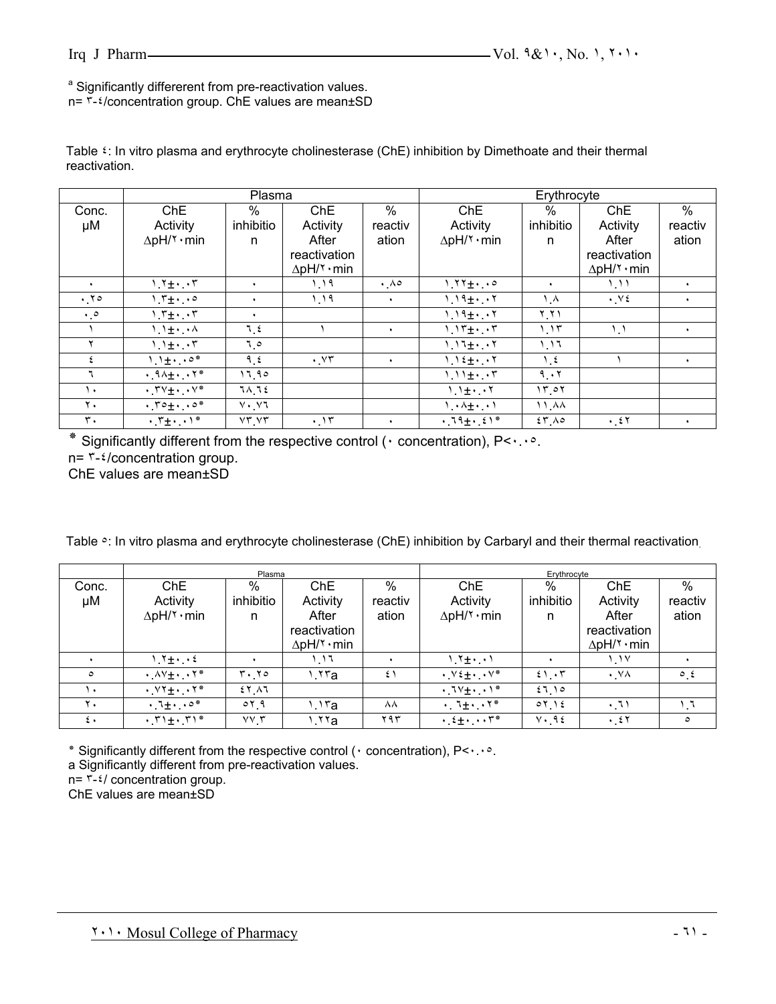<sup>a</sup> Significantly differerent from pre-reactivation values.

n= ٣-٤/concentration group. ChE values are mean±SD

|                      |                                                                | Plasma      |                      |                        | Erythrocyte                                   |               |                      |           |
|----------------------|----------------------------------------------------------------|-------------|----------------------|------------------------|-----------------------------------------------|---------------|----------------------|-----------|
| Conc.                | <b>ChE</b>                                                     | %           | Ch <sub>E</sub>      | $\%$                   | ChE                                           | $\%$          | ChE                  | $\%$      |
| μM                   | Activity                                                       | inhibitio   | Activity             | reactiv                | Activity                                      | inhibitio     | Activity             | reactiv   |
|                      | $\Delta$ pH/ $\check{\ }$ · min                                | n           | After                | ation                  | $\Delta$ pH/۲ · min                           | n             | After                | ation     |
|                      |                                                                |             | reactivation         |                        |                                               |               | reactivation         |           |
|                      |                                                                |             | $\Delta$ pH/۲ · min  |                        |                                               |               | $\Delta$ pH/۲ · min  |           |
| $\ddot{\phantom{1}}$ | $1.7 \pm 1.7$                                                  | $\bullet$   | 1.19                 | $\cdot$ $\wedge \circ$ | $1.171 +$                                     | ٠             | 1.11                 |           |
| .70                  | $1.7 \pm 1.0$                                                  | ٠           | 1.19                 | $\bullet$              | $1.19 +7$                                     | ۸.۸           | $\cdot$ Y $\epsilon$ | ٠         |
| $\cdot \cdot$        | $1.7 + 1.7$                                                    | ٠           |                      |                        | $1.19 + 7$                                    | $Y_1Y_2$      |                      |           |
|                      | $1.1 \pm 1.1$                                                  | 7.2         |                      | $\bullet$              | $1.15 + 5$                                    | 1.15          | $\mathcal{L}$        | $\bullet$ |
|                      | $1.1 \pm 1.17$                                                 | 0 ، ٦       |                      |                        | $1.17 + 7$                                    | 1.11          |                      |           |
|                      | $1.1 \pm 1.0$                                                  | 9, 2        | $\cdot$ . $\vee\tau$ |                        | $1.12 \pm 1.17$                               | $\frac{1}{2}$ |                      | ٠         |
|                      | $\cdot$ . $9\lambda + \cdot$ . $5*$                            | 17.90       |                      |                        | $1.11 + 7$                                    | 9.17          |                      |           |
| ١.                   | $\cdot$ $\uparrow \vee \uparrow \cdot$ $\cdot \vee^*$          | 7 A 7 E     |                      |                        | $1.1 \pm 1.17$                                | 15.01         |                      |           |
| $\mathbf{y}$ .       | $\cdot$ , $\mathsf{r} \circ \pm \cdot \cdot \cdot \circ \cdot$ | $V \cdot V$ |                      |                        | $\lambda \cdot \lambda + \cdot \cdot \lambda$ | ۸۸. ۱۱        |                      |           |
| $\mathbf{r}$ .       | $\cdot$ . $\uparrow \pm \cdot$ . $\uparrow *$                  | VTYT        | .15                  | ٠                      | $.79 + .61*$                                  | $55 \wedge c$ | $\cdot$ 27           | ٠         |

Table ٤: In vitro plasma and erythrocyte cholinesterase (ChE) inhibition by Dimethoate and their thermal reactivation.

Significantly different from the respective control ( $\cdot$  concentration), P< $\cdot \cdot \cdot$ . n= ٣-٤/concentration group.

ChE values are mean±SD

Table  $\circ$ : In vitro plasma and erythrocyte cholinesterase (ChE) inhibition by Carbaryl and their thermal reactivation.

|              |                                                                   | Plasma                                 |                     |         | Erythrocyte                                             |              |                     |                      |
|--------------|-------------------------------------------------------------------|----------------------------------------|---------------------|---------|---------------------------------------------------------|--------------|---------------------|----------------------|
| Conc.        | ChE                                                               | %                                      | ChE                 | $\%$    | ChE                                                     | $\%$         | ChE                 | %                    |
| μM           | Activity                                                          | inhibitio                              | Activity            | reactiv | Activity                                                | inhibitio    | Activity            | reactiv              |
|              | $\Delta$ pH/ $\check{\ }$ · min                                   | n                                      | After               | ation   | $\Delta$ pH/۲ · min                                     | n            | After               | ation                |
|              |                                                                   |                                        | reactivation        |         |                                                         |              | reactivation        |                      |
|              |                                                                   |                                        | $\Delta$ pH/۲ · min |         |                                                         |              | $\Delta$ pH/۲ · min |                      |
|              | $1.7 \pm 1.12$                                                    |                                        | ٦.١٦.               |         | $1.7 \pm 1.1$                                           |              | ۱٬۱۷                |                      |
| $\circ$      | $\cdot$ $\wedge$ $\vee$ $\pm$ $\cdot$ $\vee$ $\ast$               | $\mathbf{r} \cdot \mathbf{y}$          | 1.17a               | ٤١      | $\cdot$ $\vee$ $\pm$ $\cdot$ $\cdot$ $\vee$ $\ast$      | 21.57        | $\cdot$ . YA        | $\circ$ , $\epsilon$ |
|              | $\cdot$ $\vee$ $\uparrow$ $\pm$ $\cdot$ $\cdot$ $\uparrow$ $\ast$ | 25.11                                  |                     |         | $\cdot$ $1 \vee \pm \cdot$ $\cdot$ $1$ *                | 27.10        |                     |                      |
| ۲.           | $\cdot$ $\cdot$ $\cdot$ $\cdot$ $\cdot$ $\circ$ $\cdot$           | $\circ$ $\gamma$ <sub>-</sub> $\gamma$ | 1.1۳a               | ᄉᄉ      | $\cdot$ , $\tau_{\pm}$ , $\cdot$ , $\tau^*$             | 01.12        | .71                 | ا". ا                |
| $\epsilon$ . | $\cdot$ , $\uparrow$ ) $\pm$ $\cdot$ , $\uparrow$ ) $^*$          | $VV$ $\tau$                            | 1.11a               | ۲۹۳     | $\cdot$ . $2 + \cdot$ . $\cdot$ $\cdot$ $\cdot$ $\cdot$ | $V \cdot 96$ | $\cdot$ 27          | ٥                    |

٭ Significantly different from the respective control (٠ concentration), P<٠.٠٥.

a Significantly different from pre-reactivation values.

n= ٣-٤/ concentration group.

ChE values are mean±SD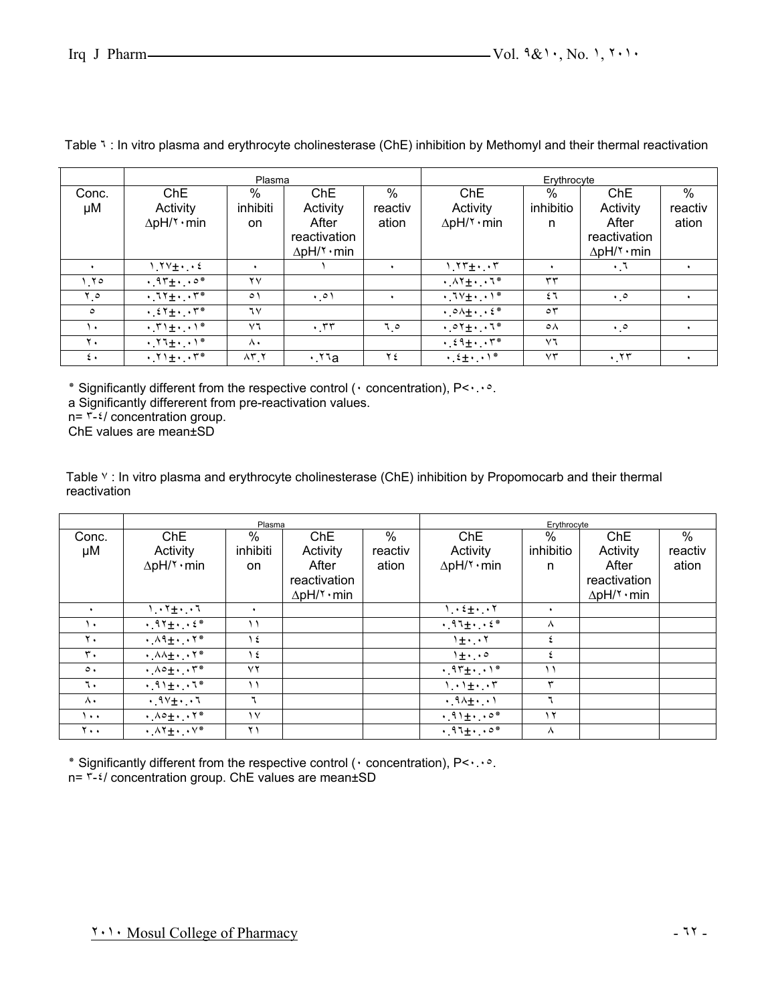|              |                                                                                | Plasma                 |                                 |         | Erythrocyte                                                           |                      |                     |                      |
|--------------|--------------------------------------------------------------------------------|------------------------|---------------------------------|---------|-----------------------------------------------------------------------|----------------------|---------------------|----------------------|
| Conc.        | ChE                                                                            | %                      | Ch <sub>E</sub>                 | $\%$    | ChE                                                                   | $\%$                 | ChE                 | $\%$                 |
| μM           | Activity                                                                       | inhibiti               | Activity                        | reactiv | Activity                                                              | inhibitio            | Activity            | reactiv              |
|              | $\Delta$ pH/۲ · min                                                            | <b>on</b>              | After                           | ation   | $\Delta$ pH/۲ · min                                                   | n                    | After               | ation                |
|              |                                                                                |                        | reactivation                    |         |                                                                       |                      | reactivation        |                      |
|              |                                                                                |                        | $\Delta$ pH/ $\check{\ }$ · min |         |                                                                       |                      | $\Delta$ pH/۲ · min |                      |
|              | $1.7V_{\pm} \cdot$                                                             | $\ddot{\phantom{1}}$   |                                 |         | $1.77 + 1.77$                                                         | $\ddot{\phantom{1}}$ | $\cdot 7$           | ٠                    |
| ۲۰ (         | $\cdot$ 95 + $\cdot$ $\cdot$ $\circ$ *                                         | $\mathsf{Y}\mathsf{V}$ |                                 |         | $\cdot$ $\wedge$ $\uparrow$ $\pm$ $\cdot$ $\cdot$ $\uparrow$ $\ast$   | ٣٣                   |                     |                      |
| ه ۲          | $\cdot$ $11 + \cdot \cdot 1$                                                   | $\circ$                | $\cdot \circ \cdot$             |         | $\cdot$ $1 \vee \pm \cdot \cdot \cdot$                                | ٤٦                   | $\cdot \cdot$       | ٠                    |
| $\circ$      | $\cdot$ $25 + \cdot \cdot 5$                                                   | ٦٧                     |                                 |         | $\cdot$ $\circ \wedge \pm \cdot$ $\cdot$ $\in$ $*$                    | $\circ$              |                     |                      |
| ١.           | $\cdot$ $\uparrow$ $\uparrow$ $\pm$ $\cdot$ $\cdot$ $\uparrow$ $*$             | $\vee$ ٦               | $\cdot$ $\tau\tau$              | 0 . ٦   | $.07 + 7*$                                                            | $\circ \wedge$       | $\cdot \cdot$       |                      |
| ۲.           | $\cdot$ $\mathsf{Y1}_{\pm}$ $\cdot$ $\mathsf{Y}^*$                             | Λ.                     |                                 |         | $\cdot$ $\epsilon$ $\uparrow$ $\pm$ $\cdot$ $\cdot$ $\uparrow$ $\ast$ | $\vee$               |                     |                      |
| $\epsilon$ . | $\cdot$ $\uparrow$ $\uparrow$ $\pm$ $\cdot$ $\downarrow$ $\uparrow$ $\uparrow$ | $\lambda$ r $\chi$     | $\cdot$ a                       | ۲٤      | $\cdot$ $2 + \cdot$ $\cdot$ $1 *$                                     | $\vee\uparrow$       | .77                 | $\ddot{\phantom{1}}$ |

Table ٦ : In vitro plasma and erythrocyte cholinesterase (ChE) inhibition by Methomyl and their thermal reactivation

٭ Significantly different from the respective control (٠ concentration), P<٠.٠٥.

a Significantly differerent from pre-reactivation values.

 $n = \frac{1}{2}$  concentration group.

ChE values are mean±SD

Table Y: In vitro plasma and erythrocyte cholinesterase (ChE) inhibition by Propomocarb and their thermal reactivation

|                 |                                                     | Plasma      |                                         |               | Erythrocyte                          |            |                     |         |
|-----------------|-----------------------------------------------------|-------------|-----------------------------------------|---------------|--------------------------------------|------------|---------------------|---------|
| Conc.           | ChE                                                 | %           | Ch <sub>E</sub>                         | $\frac{0}{0}$ | ChE                                  | $\%$       | ChE                 | $\%$    |
| μM              | Activity                                            | inhibiti    | Activity                                | reactiv       | Activity                             | inhibitio  | Activity            | reactiv |
|                 | $\Delta$ pH/ $\lambda$ · min                        | on.         | After                                   | ation         | $\Delta$ pH/ $\lambda$ · min         | n          | After               | ation   |
|                 |                                                     |             | reactivation                            |               |                                      |            | reactivation        |         |
|                 |                                                     |             | $\Delta$ pH/ $\check{\mathsf{y}}$ · min |               |                                      |            | $\Delta$ pH/۲ · min |         |
|                 | $1.1 + 1.1$                                         | ٠           |                                         |               | $1 \cdot 2 + \cdot 1$                | $\bullet$  |                     |         |
| ١٠              | $.97 +2$ *                                          | ۱۱          |                                         |               | $.97 +2$                             | ⋏          |                     |         |
| $\mathbf{y}$ .  | $\cdot$ $\wedge$ 9 $\pm$ $\cdot$ $\cdot$ $\wedge$ * | ع ١         |                                         |               | $1\pm\cdot\cdot\cdot$                | ٤          |                     |         |
| ٣.              | $\cdot$ $\wedge \wedge \pm \cdot$ . Y*              | ع ١         |                                         |               | $1 + \cdot \cdot$                    | $\epsilon$ |                     |         |
| $\circ$ .       | $\cdot \wedge \circ \pm \cdot \cdot \cdot \wedge^*$ | $\vee$      |                                         |               | $.97 +$                              | ۱۱         |                     |         |
| ٦.              | $\cdot$ . 11 + $\cdot$ . 1*                         | $\setminus$ |                                         |               | $1.1 + 7$                            | ٣          |                     |         |
| ۸.              | $.9V_{\pm}$ . 1                                     | ٦           |                                         |               | $\cdot$ $9\lambda + \cdot$ $\cdot$ ) | ٦          |                     |         |
| ۰۰۱.            | $\cdot \Lambda \circ \pm \cdot \cdot \cdot \cdot$ * | $\vee$      |                                         |               | $.91\pm 0$                           | $\gamma$   |                     |         |
| $Y \cdot \cdot$ | $\cdot \Lambda$ Y $\pm$ $\cdot \cdot$ $\vee^*$      | ۲۱          |                                         |               | $.91 +0*$                            | $\lambda$  |                     |         |

٭ Significantly different from the respective control (٠ concentration), P<٠.٠٥.

n= ٣-٤/ concentration group. ChE values are mean±SD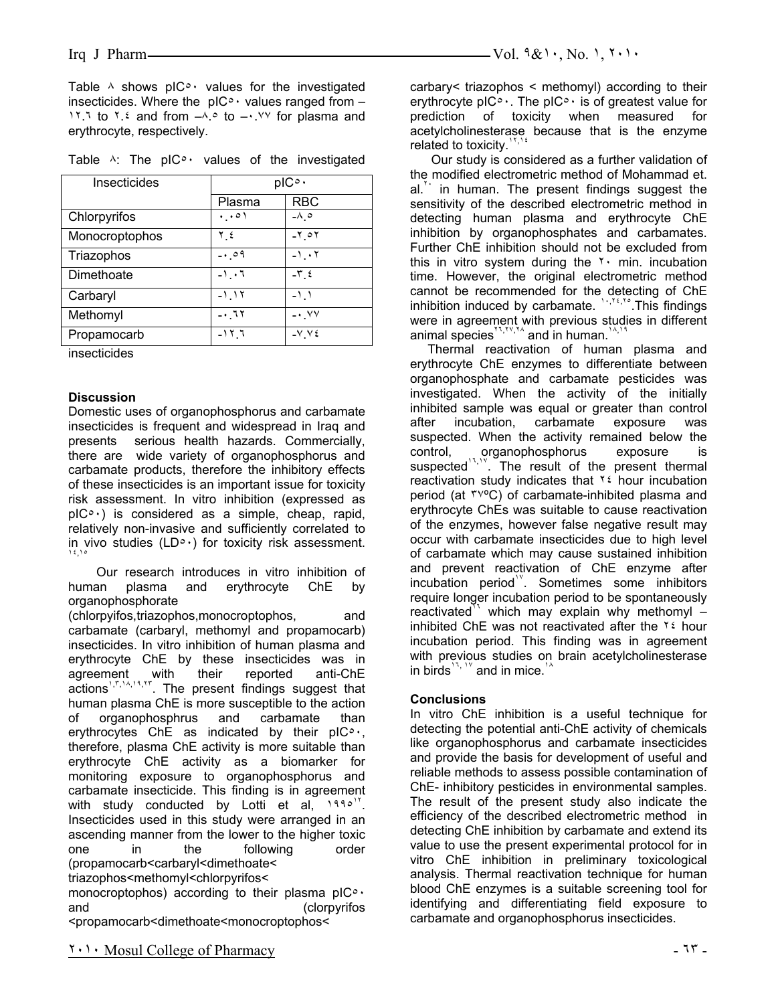Table  $\land$  shows pIC $\circ \cdot$  values for the investigated insecticides. Where the  $pIC^{\circ}$  values ranged from -1.1 to 1.2 and from  $-A.$  to  $-A.$  The plasma and erythrocyte, respectively.

| Insecticides   | pIC <sup>o</sup> |                          |  |  |
|----------------|------------------|--------------------------|--|--|
|                | Plasma           | <b>RBC</b>               |  |  |
| Chlorpyrifos   | ۱۰۰۱.            | $-\lambda$ 0             |  |  |
| Monocroptophos | ع ۲              | $-7$ 0 $7$               |  |  |
| Triazophos     | $-0.09$          | ۲ . ۱-                   |  |  |
| Dimethoate     | $-1$ , $-1$      | $-\mathbf{v}$ $\epsilon$ |  |  |
| Carbaryl       | $-1.17$          | -11                      |  |  |
| Methomyl       | -0.72            | -• VV                    |  |  |
| Propamocarb    | ۱۲.٦             | $-VVt$                   |  |  |

| Table $\wedge$ : The pIC <sup>o</sup> values of the investigated |  |  |  |  |  |  |  |  |
|------------------------------------------------------------------|--|--|--|--|--|--|--|--|
|------------------------------------------------------------------|--|--|--|--|--|--|--|--|

insecticides

#### **Discussion**

Domestic uses of organophosphorus and carbamate insecticides is frequent and widespread in Iraq and presents serious health hazards. Commercially, there are wide variety of organophosphorus and carbamate products, therefore the inhibitory effects of these insecticides is an important issue for toxicity risk assessment. In vitro inhibition (expressed as  $p|C^{\circ}$  is considered as a simple, cheap, rapid, relatively non-invasive and sufficiently correlated to in vivo studies (LD $\circ$ ·) for toxicity risk assessment.

 Our research introduces in vitro inhibition of human plasma and erythrocyte ChE by organophosphorate

(chlorpyifos,triazophos,monocroptophos, and carbamate (carbaryl, methomyl and propamocarb) insecticides. In vitro inhibition of human plasma and erythrocyte ChE by these insecticides was in agreement with their reported anti-ChE actions<sup>1, r, 14, 19, 17</sup>. The present findings suggest that human plasma ChE is more susceptible to the action of organophosphrus and carbamate than erythrocytes ChE as indicated by their pIC٥٠, therefore, plasma ChE activity is more suitable than erythrocyte ChE activity as a biomarker for monitoring exposure to organophosphorus and carbamate insecticide. This finding is in agreement with study conducted by Lotti et al,  $1990$ <sup>T</sup>. Insecticides used in this study were arranged in an ascending manner from the lower to the higher toxic one in the following order (propamocarb<carbaryl<dimethoate< triazophos<methomyl<chlorpyrifos<

monocroptophos) according to their plasma  $p \mid C$ ° and (clorpyrifos <propamocarb<dimethoate<monocroptophos<

carbary< triazophos < methomyl) according to their erythrocyte pIC $\circ \cdot$ . The pIC $\circ \cdot$  is of greatest value for prediction of toxicity when measured for acetylcholinesterase because that is the enzyme related to toxicity.<sup>17,18</sup>

 Our study is considered as a further validation of the modified electrometric method of Mohammad et.  $al.$ <sup>\*\*</sup> in human. The present findings suggest the sensitivity of the described electrometric method in detecting human plasma and erythrocyte ChE inhibition by organophosphates and carbamates. Further ChE inhibition should not be excluded from this in vitro system during the  $\gamma$  min. incubation time. However, the original electrometric method cannot be recommended for the detecting of ChE inhibition induced by carbamate.  $\frac{1}{2}$ , This findings were in agreement with previous studies in different animal species<sup>x<sub>1, TV, TA</sub> and in human.<sup>1</sup></sup>

 Thermal reactivation of human plasma and erythrocyte ChE enzymes to differentiate between organophosphate and carbamate pesticides was investigated. When the activity of the initially inhibited sample was equal or greater than control after incubation, carbamate exposure was suspected. When the activity remained below the control, organophosphorus exposure is<br>suspected<sup>13,19</sup>. The result of the necessary reset is  $\check{ }$ . The result of the present thermal reactivation study indicates that ٢٤ hour incubation period (at ٣٧ºC) of carbamate-inhibited plasma and erythrocyte ChEs was suitable to cause reactivation of the enzymes, however false negative result may occur with carbamate insecticides due to high level of carbamate which may cause sustained inhibition and prevent reactivation of ChE enzyme after incubation period<sup>19</sup>. Sometimes some inhibitors require longer incubation period to be spontaneously reactivated<sup>11</sup> which may explain why methomyl  $$ inhibited ChE was not reactivated after the  $\frac{1}{2}$  hour incubation period. This finding was in agreement with previous studies on brain acetylcholinesterase in birds<sup> $17, 19$ </sup> and in mice.<sup>1</sup>

#### **Conclusions**

In vitro ChE inhibition is a useful technique for detecting the potential anti-ChE activity of chemicals like organophosphorus and carbamate insecticides and provide the basis for development of useful and reliable methods to assess possible contamination of ChE- inhibitory pesticides in environmental samples. The result of the present study also indicate the efficiency of the described electrometric method in detecting ChE inhibition by carbamate and extend its value to use the present experimental protocol for in vitro ChE inhibition in preliminary toxicological analysis. Thermal reactivation technique for human blood ChE enzymes is a suitable screening tool for identifying and differentiating field exposure to carbamate and organophosphorus insecticides.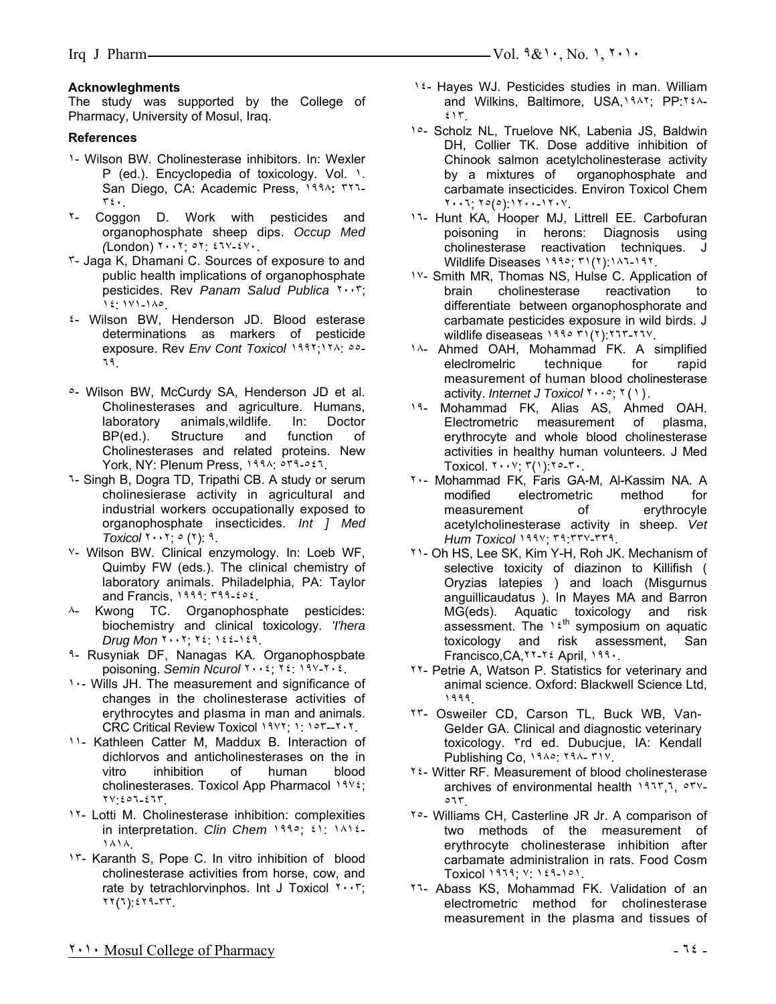# **Acknowleghments**

The study was supported by the College of Pharmacy, University of Mosul, Iraq.

# **References**

- ١- Wilson BW. Cholinesterase inhibitors. In: Wexler P (ed.). Encyclopedia of toxicology. Vol. 1. San Diego, CA: Academic Press, ١٩٩٨**:** ٣٢٦- ٣٤٠.
- ٢- Coggon D. Work with pesticides and organophosphate sheep dips. *Occup Med (*London) ٢٠٠٢; ٥٢: ٤٦٧-٤٧٠.
- ٣- Jaga K, Dhamani C. Sources of exposure to and public health implications of organophosphate pesticides. Rev *Panam Salud Publica* ٢٠٠٣; ١٤: ١٧١-١٨٥.
- ٤- Wilson BW, Henderson JD. Blood esterase determinations as markers of pesticide exposure. Rev *Env Cont Toxicol* ١٩٩٢;١٢٨: ٥٥- ٦٩.
- ٥- Wilson BW, McCurdy SA, Henderson JD et al. Cholinesterases and agriculture. Humans, laboratory animals,wildlife. In: Doctor BP(ed.). Structure and function of Cholinesterases and related proteins. New York, NY: Plenum Press, ١٩٩٨: ٥٣٩-٥٤٦.
- ٦- Singh B, Dogra TD, Tripathi CB. A study or serum cholinesierase activity in agricultural and industrial workers occupationally exposed to organophosphate insecticides. *Int ] Med Toxicol* ٢٠٠٢; ٥ (٢): ٩.
- ٧- Wilson BW. Clinical enzymology. In: Loeb WF, Quimby FW (eds.). The clinical chemistry of laboratory animals. Philadelphia, PA: Taylor and Francis, ١٩٩٩: ٣٩٩-٤٥٤.
- ٨- Kwong TC. Organophosphate pesticides: biochemistry and clinical toxicology. *'I'hera Drug Mon* ٢٠٠٢; ٢٤: ١٤٤-١٤٩.
- ٩- Rusyniak DF, Nanagas KA. Organophospbate poisoning. *Semin Ncurol* ٢٠٠٤; ٢٤: ١٩٧-٢٠٤.
- ١٠- Wills JH. The measurement and significance of changes in the cholinesterase activities of erythrocytes and plasma in man and animals. CRC Critical Review Toxicol ١٩٧٢; ١: ١٥٣--٢٠٢.
- ١١- Kathleen Catter M, Maddux B. Interaction of dichlorvos and anticholinesterases on the in<br>vitro inhibition of human blood inhibition of human blood cholinesterases. Toxicol App Pharmacol ١٩٧٤; ٢٧:٤٥٦-٤٦٣.
- 1<sup>1</sup>- Lotti M. Cholinesterase inhibition: complexities in interpretation. *Clin Chem* ١٩٩٥; ٤١: ١٨١٤- ١٨١٨.
- ١٣- Karanth S, Pope C. In vitro inhibition of blood cholinesterase activities from horse, cow, and rate by tetrachlorvinphos. Int J Toxicol ٢٠٠٣; ٢٢(٦):٤٢٩-٣٣.
- 1.4- Hayes WJ. Pesticides studies in man. William and Wilkins, Baltimore, USA,١٩٨٢; PP:٢٤٨- ٤١٣.
- ١٥- Scholz NL, Truelove NK, Labenia JS, Baldwin DH, Collier TK. Dose additive inhibition of Chinook salmon acetylcholinesterase activity by a mixtures of organophosphate and carbamate insecticides. Environ Toxicol Chem ٢٠٠٦; ٢٥(٥):١٢٠٠-١٢٠٧.
- ١٦- Hunt KA, Hooper MJ, Littrell EE. Carbofuran poisoning in herons: Diagnosis using cholinesterase reactivation techniques. J Wildlife Diseases ١٩٩٥; ٣١(٢):١٨٦-١٩٢.
- ١٧- Smith MR, Thomas NS, Hulse C. Application of brain cholinesterase reactivation to differentiate between organophosphorate and carbamate pesticides exposure in wild birds. J wildlife diseaseas ١٩٩٥ ٣١(٢):٢٦٣-٢٦٧.
- ١٨- Ahmed OAH, Mohammad FK. A simplified eleclromelric technique for rapid measurement of human blood cholinesterase activity. *Internet J Toxicol* ٢٠٠٥; ٢(١).
- ١٩- Mohammad FK, Alias AS, Ahmed OAH. Electrometric measurement of plasma, erythrocyte and whole blood cholinesterase activities in healthy human volunteers. J Med Toxicol.  $Y \cdot Y$ ;  $Y(1)$ :  $Y \circ Y$ .
- ٢٠- Mohammad FK, Faris GA-M, Al-Kassim NA. A modified electrometric method for measurement of erythrocyle acetylcholinesterase activity in sheep. *Vet Hum Toxicol* ١٩٩٧; ٣٩:٣٣٧-٣٣٩.
- ٢١- Oh HS, Lee SK, Kim Y-H, Roh JK. Mechanism of selective toxicity of diazinon to Killifish ( Oryzias latepies ) and loach (Misgurnus anguillicaudatus ). In Mayes MA and Barron MG(eds). Aquatic toxicology and risk assessment. The  $16<sup>th</sup>$  symposium on aquatic toxicology and risk assessment, San Francisco,CA,٢٢-٢٤ April, ١٩٩٠.
- ٢٢- Petrie A, Watson P. Statistics for veterinary and animal science. Oxford: Blackwell Science Ltd, ١٩٩٩.
- ٢٣- Osweiler CD, Carson TL, Buck WB, Van-Gelder GA. Clinical and diagnostic veterinary toxicology. ٣rd ed. Dubucjue, IA: Kendall Publishing Co, ١٩٨٥: ٢٩٨- ٣١٧.
- ٢٤- Witter RF. Measurement of blood cholinesterase archives of environmental health ١٩٦٣,٦, ٥٣٧- ٥٦٣.
- ٢٥- Williams CH, Casterline JR Jr. A comparison of two methods of the measurement of erythrocyte cholinesterase inhibition after carbamate administralion in rats. Food Cosm Toxicol ١٩٦٩; ٧: ١٤٩-١٥١.
- ٢٦- Abass KS, Mohammad FK. Validation of an electrometric method for cholinesterase measurement in the plasma and tissues of